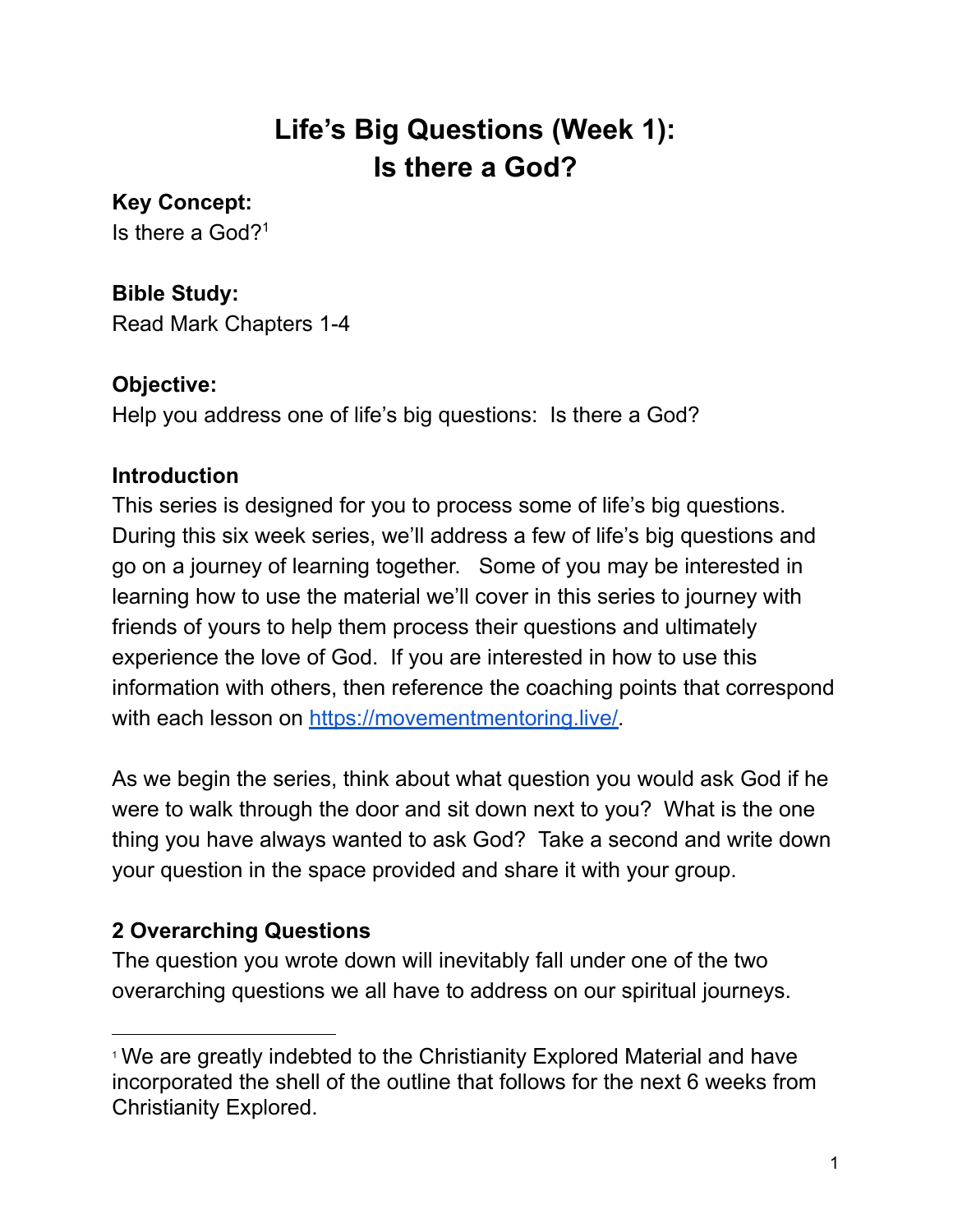# **Life's Big Questions (Week 1): Is there a God?**

**Key Concept:**

Is there a God? 1

#### **Bible Study:**

Read Mark Chapters 1-4

#### **Objective:**

Help you address one of life's big questions: Is there a God?

#### **Introduction**

This series is designed for you to process some of life's big questions. During this six week series, we'll address a few of life's big questions and go on a journey of learning together. Some of you may be interested in learning how to use the material we'll cover in this series to journey with friends of yours to help them process their questions and ultimately experience the love of God. If you are interested in how to use this information with others, then reference the coaching points that correspond with each lesson on [https://movementmentoring.live/.](https://movementmentoring.live/)

As we begin the series, think about what question you would ask God if he were to walk through the door and sit down next to you? What is the one thing you have always wanted to ask God? Take a second and write down your question in the space provided and share it with your group.

## **2 Overarching Questions**

The question you wrote down will inevitably fall under one of the two overarching questions we all have to address on our spiritual journeys.

<sup>&</sup>lt;sup>1</sup> We are greatly indebted to the Christianity Explored Material and have incorporated the shell of the outline that follows for the next 6 weeks from Christianity Explored.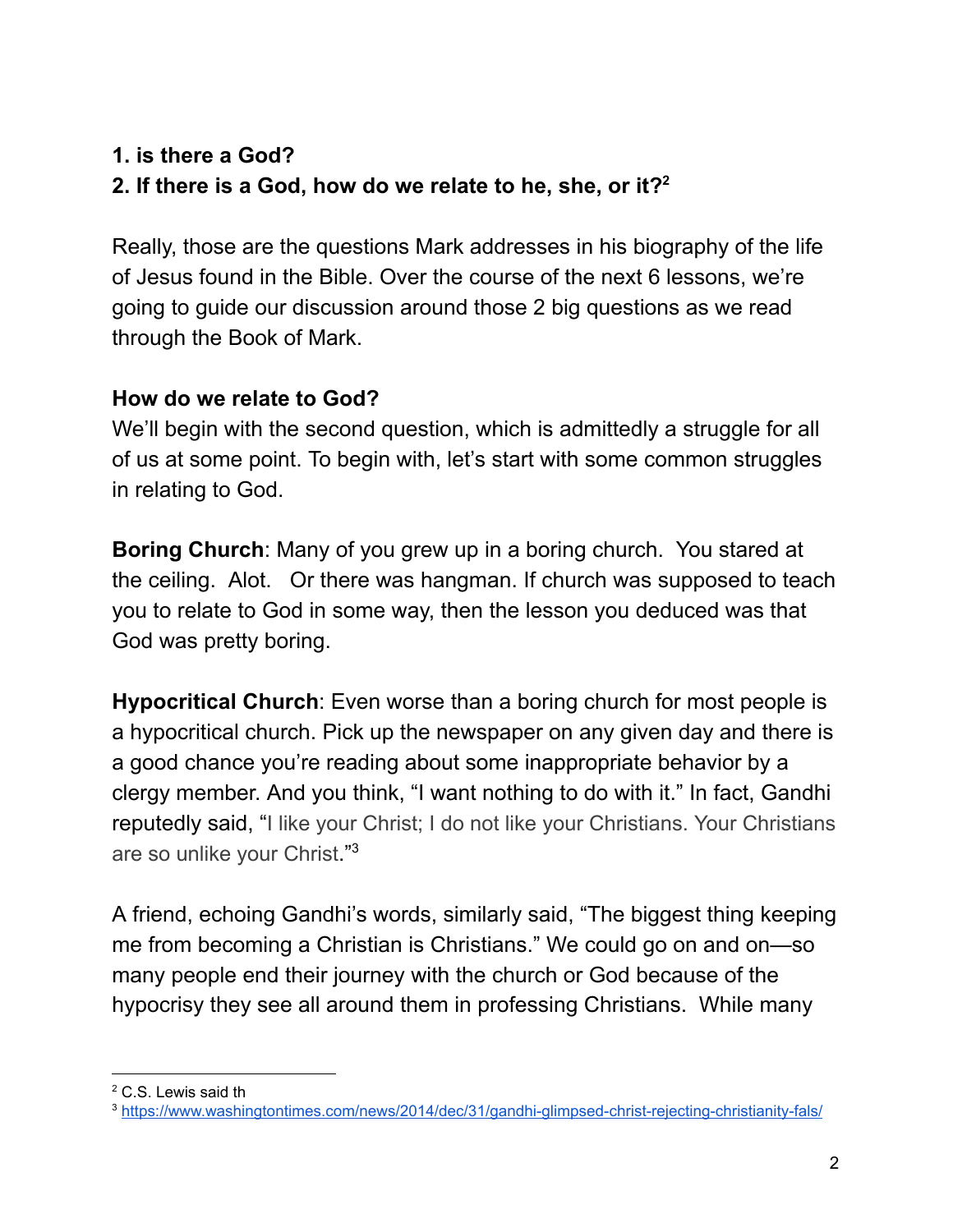## **1. is there a God? 2. If there is a God, how do we relate to he, she, or it? 2**

Really, those are the questions Mark addresses in his biography of the life of Jesus found in the Bible. Over the course of the next 6 lessons, we're going to guide our discussion around those 2 big questions as we read through the Book of Mark.

#### **How do we relate to God?**

We'll begin with the second question, which is admittedly a struggle for all of us at some point. To begin with, let's start with some common struggles in relating to God.

**Boring Church**: Many of you grew up in a boring church. You stared at the ceiling. Alot. Or there was hangman. If church was supposed to teach you to relate to God in some way, then the lesson you deduced was that God was pretty boring.

**Hypocritical Church**: Even worse than a boring church for most people is a hypocritical church. Pick up the newspaper on any given day and there is a good chance you're reading about some inappropriate behavior by a clergy member. And you think, "I want nothing to do with it." In fact, Gandhi reputedly said, "I like your Christ; I do not like your Christians. Your Christians are so unlike your Christ."<sup>3</sup>

A friend, echoing Gandhi's words, similarly said, "The biggest thing keeping me from becoming a Christian is Christians." We could go on and on—so many people end their journey with the church or God because of the hypocrisy they see all around them in professing Christians. While many

<sup>2</sup> C.S. Lewis said th

<sup>3</sup> <https://www.washingtontimes.com/news/2014/dec/31/gandhi-glimpsed-christ-rejecting-christianity-fals/>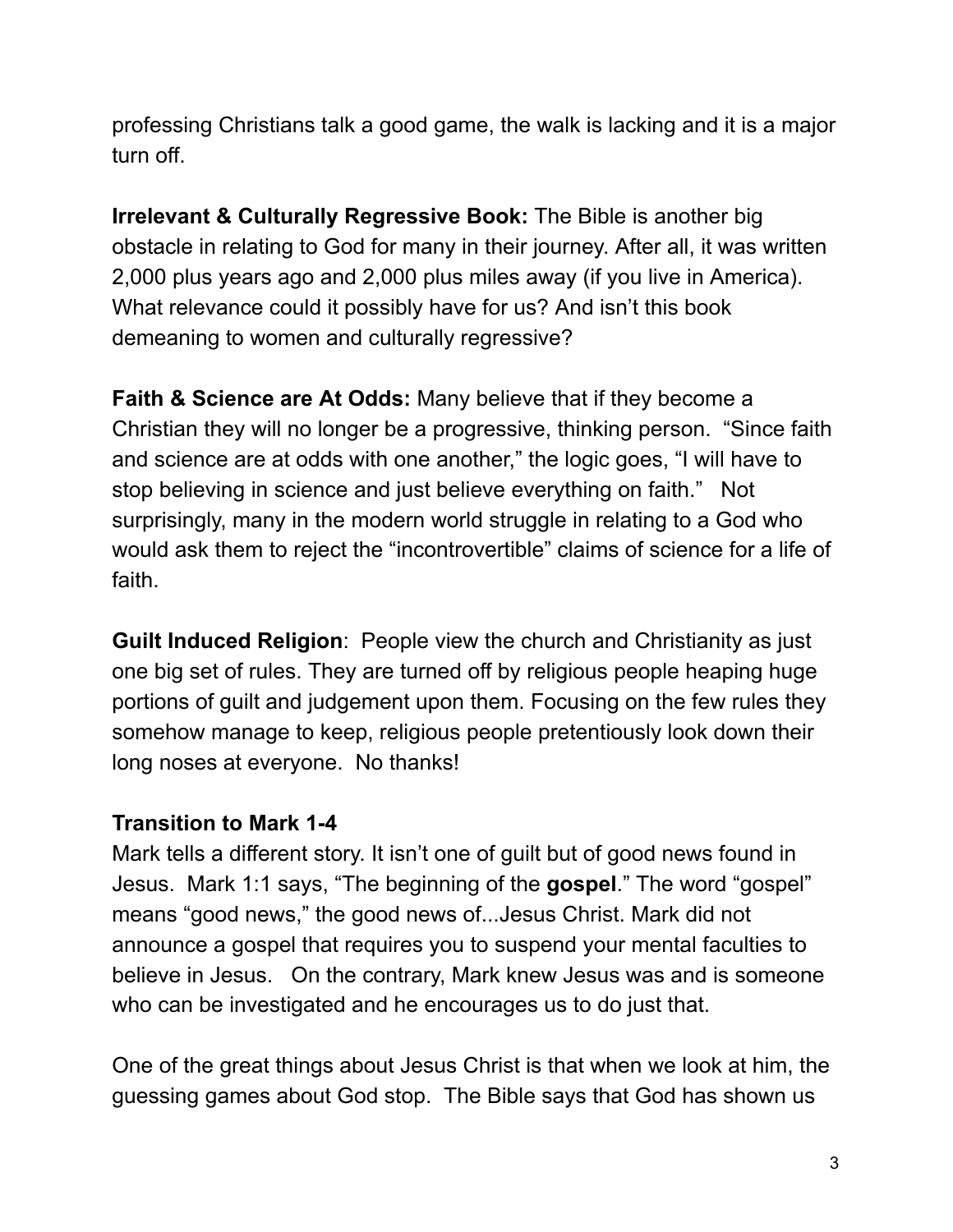professing Christians talk a good game, the walk is lacking and it is a major turn off.

**Irrelevant & Culturally Regressive Book:** The Bible is another big obstacle in relating to God for many in their journey. After all, it was written 2,000 plus years ago and 2,000 plus miles away (if you live in America). What relevance could it possibly have for us? And isn't this book demeaning to women and culturally regressive?

**Faith & Science are At Odds:** Many believe that if they become a Christian they will no longer be a progressive, thinking person. "Since faith and science are at odds with one another," the logic goes, "I will have to stop believing in science and just believe everything on faith." Not surprisingly, many in the modern world struggle in relating to a God who would ask them to reject the "incontrovertible" claims of science for a life of faith.

**Guilt Induced Religion**: People view the church and Christianity as just one big set of rules. They are turned off by religious people heaping huge portions of guilt and judgement upon them. Focusing on the few rules they somehow manage to keep, religious people pretentiously look down their long noses at everyone. No thanks!

#### **Transition to Mark 1-4**

Mark tells a different story. It isn't one of guilt but of good news found in Jesus. Mark 1:1 says, "The beginning of the **gospel**." The word "gospel" means "good news," the good news of...Jesus Christ. Mark did not announce a gospel that requires you to suspend your mental faculties to believe in Jesus. On the contrary, Mark knew Jesus was and is someone who can be investigated and he encourages us to do just that.

One of the great things about Jesus Christ is that when we look at him, the guessing games about God stop. The Bible says that God has shown us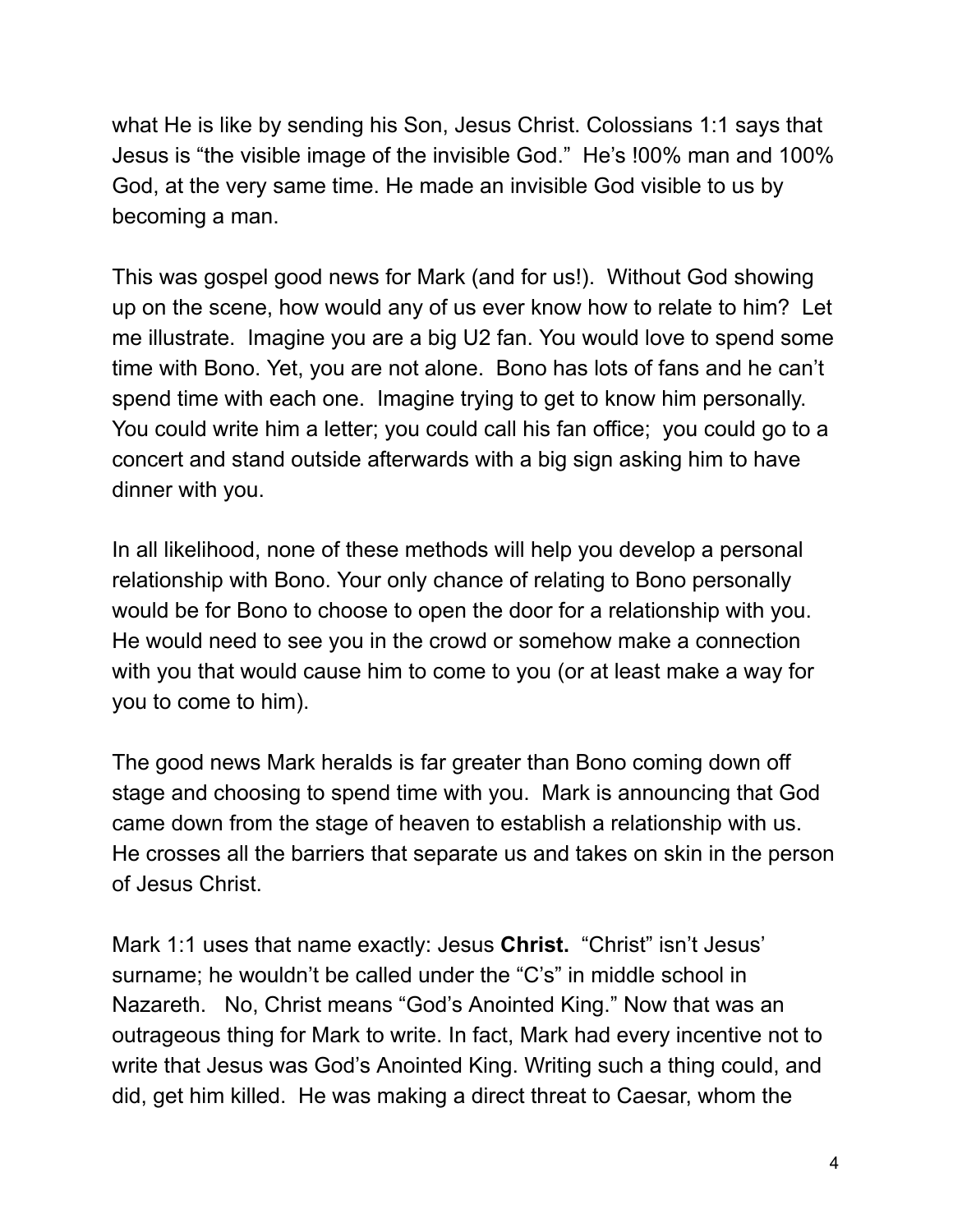what He is like by sending his Son, Jesus Christ. Colossians 1:1 says that Jesus is "the visible image of the invisible God." He's !00% man and 100% God, at the very same time. He made an invisible God visible to us by becoming a man.

This was gospel good news for Mark (and for us!). Without God showing up on the scene, how would any of us ever know how to relate to him? Let me illustrate. Imagine you are a big U2 fan. You would love to spend some time with Bono. Yet, you are not alone. Bono has lots of fans and he can't spend time with each one. Imagine trying to get to know him personally. You could write him a letter; you could call his fan office; you could go to a concert and stand outside afterwards with a big sign asking him to have dinner with you.

In all likelihood, none of these methods will help you develop a personal relationship with Bono. Your only chance of relating to Bono personally would be for Bono to choose to open the door for a relationship with you. He would need to see you in the crowd or somehow make a connection with you that would cause him to come to you (or at least make a way for you to come to him).

The good news Mark heralds is far greater than Bono coming down off stage and choosing to spend time with you. Mark is announcing that God came down from the stage of heaven to establish a relationship with us. He crosses all the barriers that separate us and takes on skin in the person of Jesus Christ.

Mark 1:1 uses that name exactly: Jesus **Christ.** "Christ" isn't Jesus' surname; he wouldn't be called under the "C's" in middle school in Nazareth. No, Christ means "God's Anointed King." Now that was an outrageous thing for Mark to write. In fact, Mark had every incentive not to write that Jesus was God's Anointed King. Writing such a thing could, and did, get him killed. He was making a direct threat to Caesar, whom the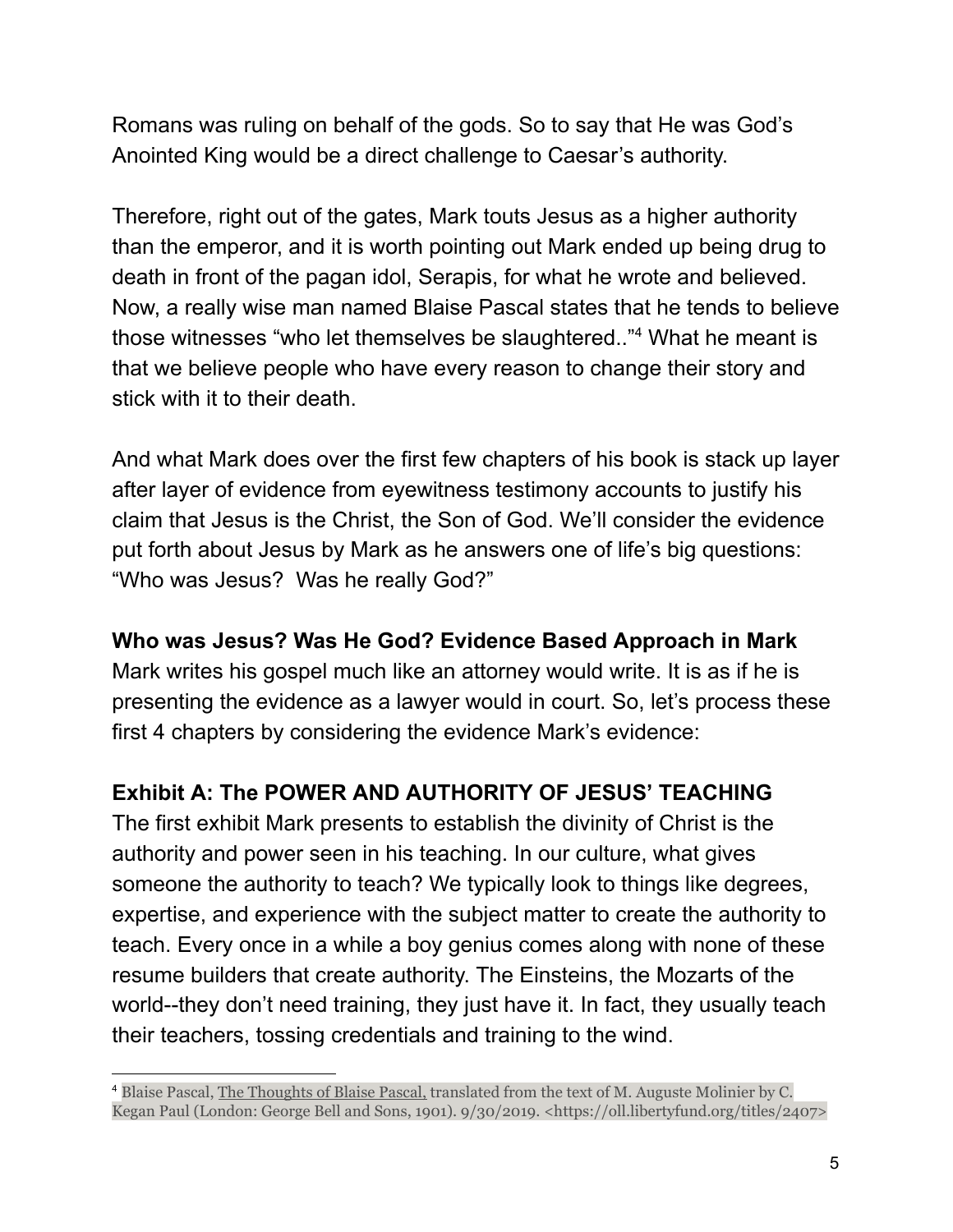Romans was ruling on behalf of the gods. So to say that He was God's Anointed King would be a direct challenge to Caesar's authority.

Therefore, right out of the gates, Mark touts Jesus as a higher authority than the emperor, and it is worth pointing out Mark ended up being drug to death in front of the pagan idol, Serapis, for what he wrote and believed. Now, a really wise man named Blaise Pascal states that he tends to believe those witnesses "who let themselves be slaughtered.."<sup>4</sup> What he meant is that we believe people who have every reason to change their story and stick with it to their death.

And what Mark does over the first few chapters of his book is stack up layer after layer of evidence from eyewitness testimony accounts to justify his claim that Jesus is the Christ, the Son of God. We'll consider the evidence put forth about Jesus by Mark as he answers one of life's big questions: "Who was Jesus? Was he really God?"

#### **Who was Jesus? Was He God? Evidence Based Approach in Mark**

Mark writes his gospel much like an attorney would write. It is as if he is presenting the evidence as a lawyer would in court. So, let's process these first 4 chapters by considering the evidence Mark's evidence:

### **Exhibit A: The POWER AND AUTHORITY OF JESUS' TEACHING**

The first exhibit Mark presents to establish the divinity of Christ is the authority and power seen in his teaching. In our culture, what gives someone the authority to teach? We typically look to things like degrees, expertise, and experience with the subject matter to create the authority to teach. Every once in a while a boy genius comes along with none of these resume builders that create authority. The Einsteins, the Mozarts of the world--they don't need training, they just have it. In fact, they usually teach their teachers, tossing credentials and training to the wind.

<sup>4</sup> Blaise Pascal, The Thoughts of Blaise Pascal, translated from the text of M. Auguste Molinier by C. Kegan Paul (London: George Bell and Sons, 1901). 9/30/2019. <https://oll.libertyfund.org/titles/2407>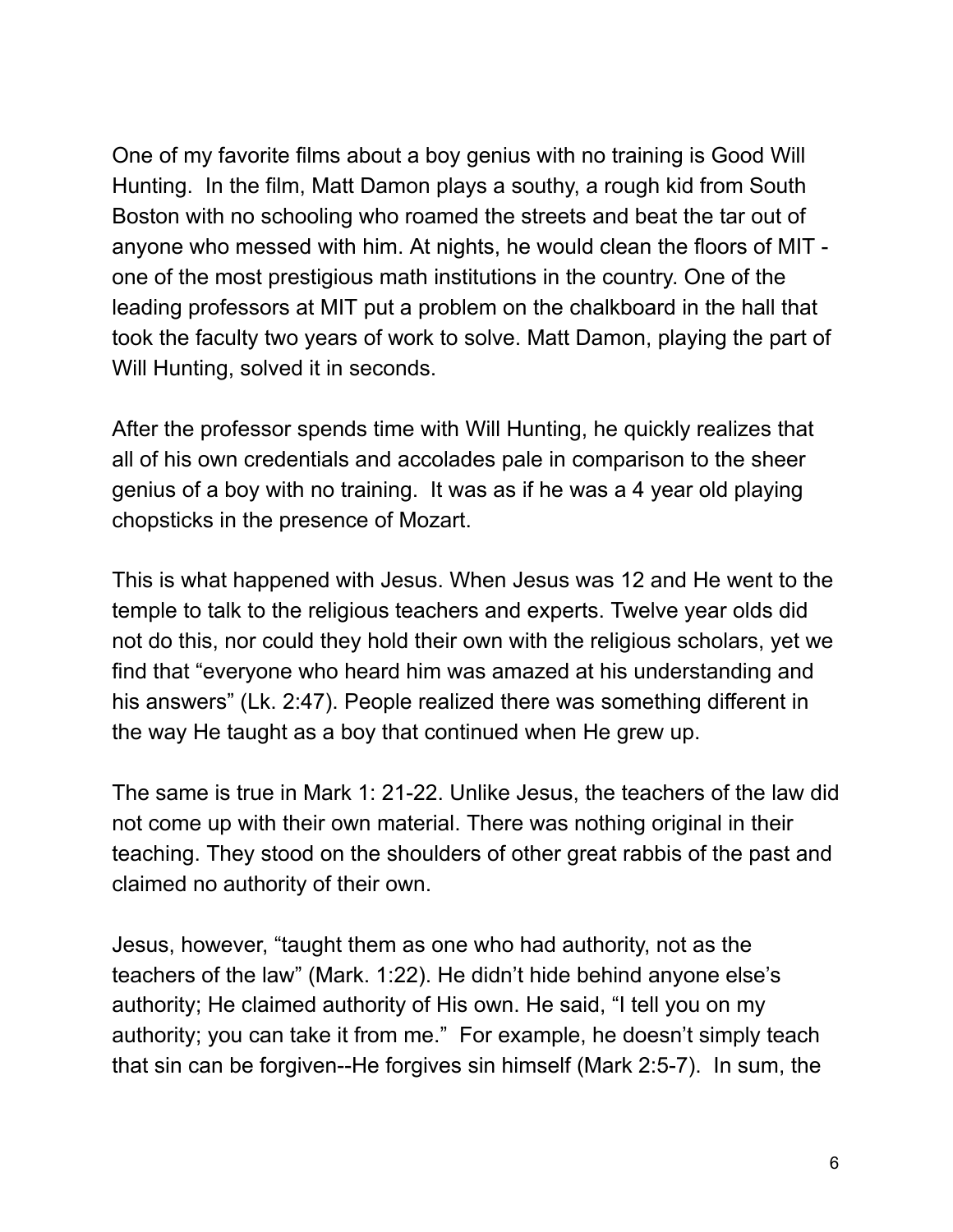One of my favorite films about a boy genius with no training is Good Will Hunting. In the film, Matt Damon plays a southy, a rough kid from South Boston with no schooling who roamed the streets and beat the tar out of anyone who messed with him. At nights, he would clean the floors of MIT one of the most prestigious math institutions in the country. One of the leading professors at MIT put a problem on the chalkboard in the hall that took the faculty two years of work to solve. Matt Damon, playing the part of Will Hunting, solved it in seconds.

After the professor spends time with Will Hunting, he quickly realizes that all of his own credentials and accolades pale in comparison to the sheer genius of a boy with no training. It was as if he was a 4 year old playing chopsticks in the presence of Mozart.

This is what happened with Jesus. When Jesus was 12 and He went to the temple to talk to the religious teachers and experts. Twelve year olds did not do this, nor could they hold their own with the religious scholars, yet we find that "everyone who heard him was amazed at his understanding and his answers" (Lk. 2:47). People realized there was something different in the way He taught as a boy that continued when He grew up.

The same is true in Mark 1: 21-22. Unlike Jesus, the teachers of the law did not come up with their own material. There was nothing original in their teaching. They stood on the shoulders of other great rabbis of the past and claimed no authority of their own.

Jesus, however, "taught them as one who had authority, not as the teachers of the law" (Mark. 1:22). He didn't hide behind anyone else's authority; He claimed authority of His own. He said, "I tell you on my authority; you can take it from me." For example, he doesn't simply teach that sin can be forgiven--He forgives sin himself (Mark 2:5-7). In sum, the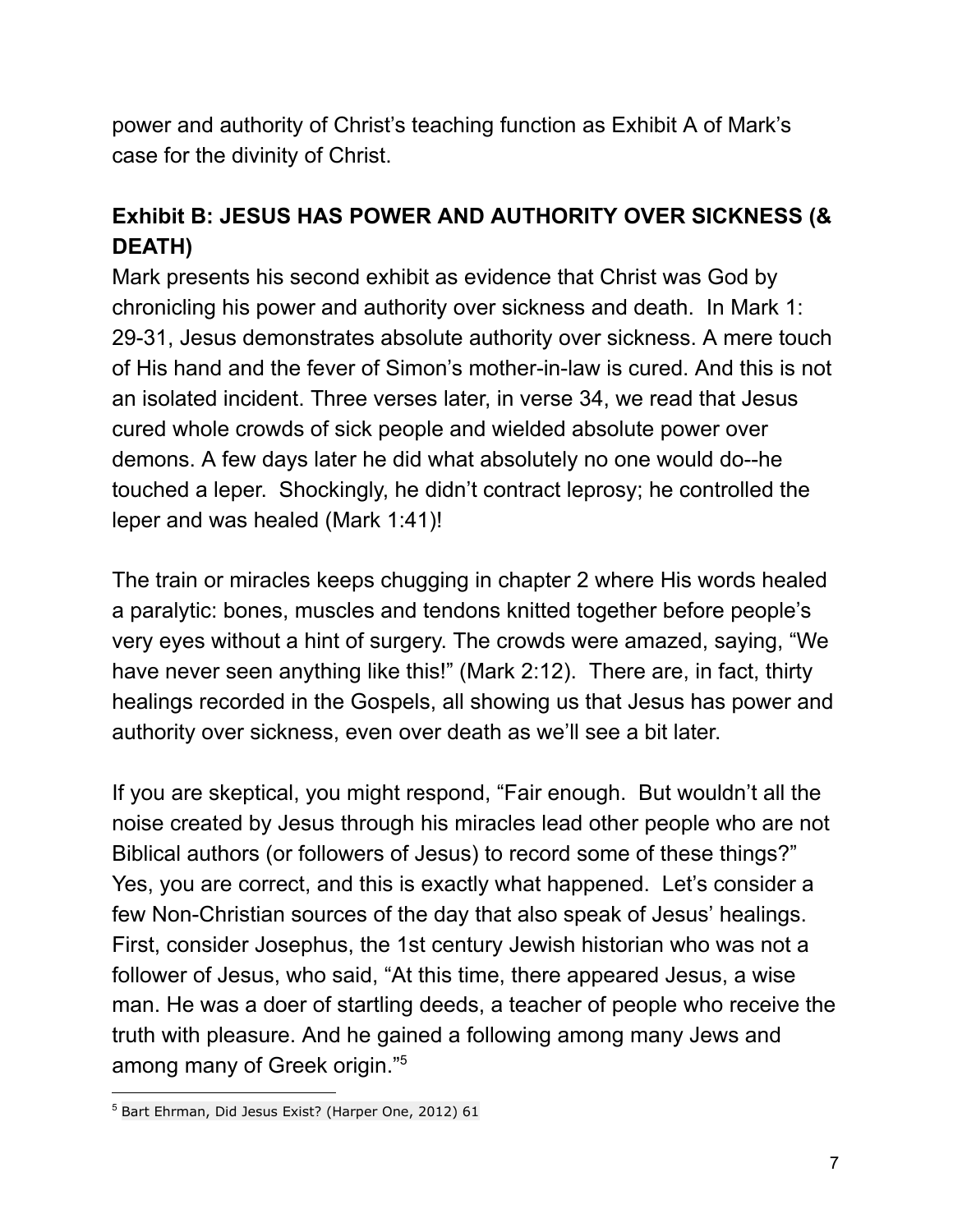power and authority of Christ's teaching function as Exhibit A of Mark's case for the divinity of Christ.

## **Exhibit B: JESUS HAS POWER AND AUTHORITY OVER SICKNESS (& DEATH)**

Mark presents his second exhibit as evidence that Christ was God by chronicling his power and authority over sickness and death. In Mark 1: 29-31, Jesus demonstrates absolute authority over sickness. A mere touch of His hand and the fever of Simon's mother-in-law is cured. And this is not an isolated incident. Three verses later, in verse 34, we read that Jesus cured whole crowds of sick people and wielded absolute power over demons. A few days later he did what absolutely no one would do--he touched a leper. Shockingly, he didn't contract leprosy; he controlled the leper and was healed (Mark 1:41)!

The train or miracles keeps chugging in chapter 2 where His words healed a paralytic: bones, muscles and tendons knitted together before people's very eyes without a hint of surgery. The crowds were amazed, saying, "We have never seen anything like this!" (Mark 2:12). There are, in fact, thirty healings recorded in the Gospels, all showing us that Jesus has power and authority over sickness, even over death as we'll see a bit later.

If you are skeptical, you might respond, "Fair enough. But wouldn't all the noise created by Jesus through his miracles lead other people who are not Biblical authors (or followers of Jesus) to record some of these things?" Yes, you are correct, and this is exactly what happened. Let's consider a few Non-Christian sources of the day that also speak of Jesus' healings. First, consider Josephus, the 1st century Jewish historian who was not a follower of Jesus, who said, "At this time, there appeared Jesus, a wise man. He was a doer of startling deeds, a teacher of people who receive the truth with pleasure. And he gained a following among many Jews and among many of Greek origin." 5

<sup>5</sup> Bart Ehrman, Did Jesus Exist? (Harper One, 2012) 61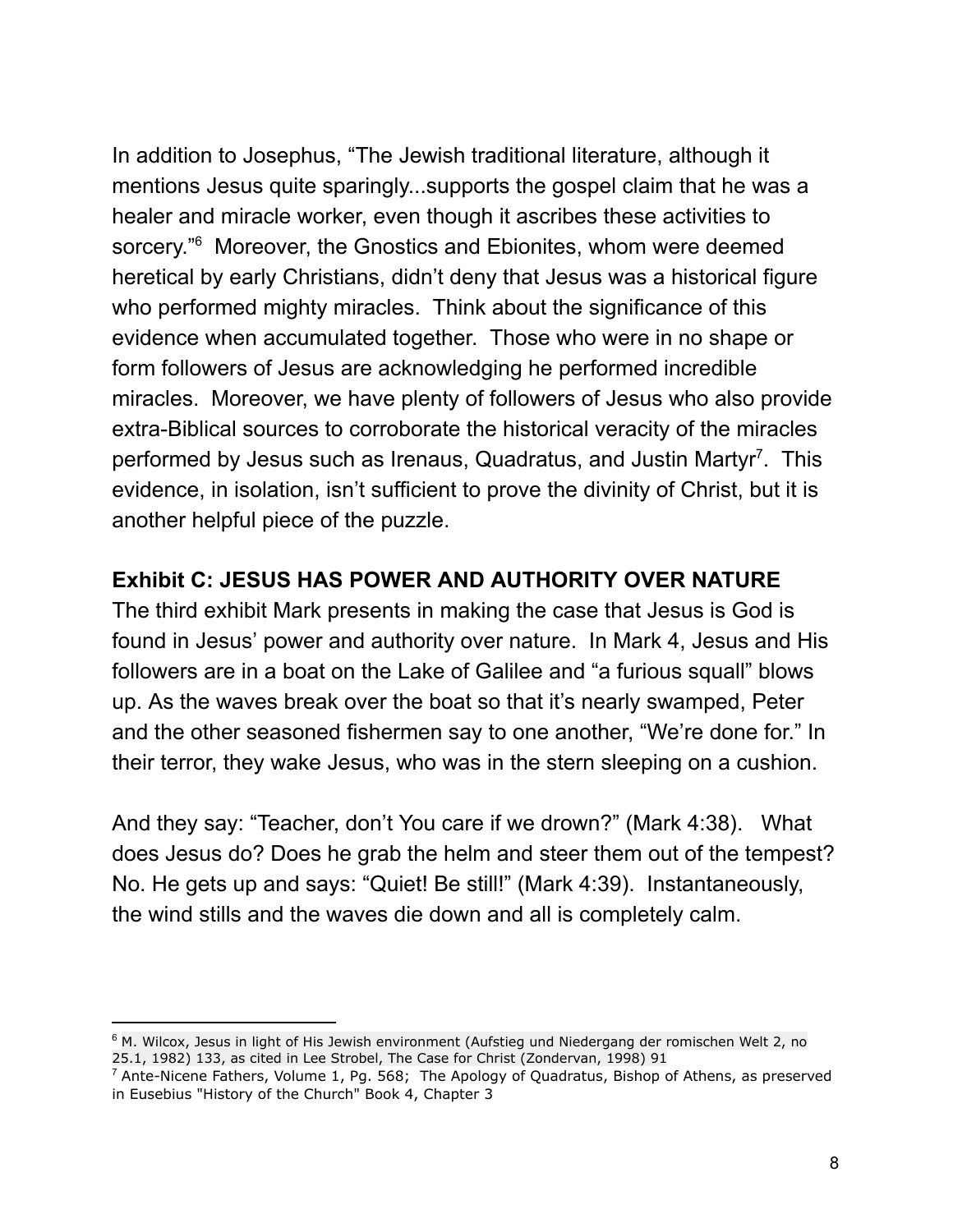In addition to Josephus, "The Jewish traditional literature, although it mentions Jesus quite sparingly...supports the gospel claim that he was a healer and miracle worker, even though it ascribes these activities to sorcery."<sup>6</sup> Moreover, the Gnostics and Ebionites, whom were deemed heretical by early Christians, didn't deny that Jesus was a historical figure who performed mighty miracles. Think about the significance of this evidence when accumulated together. Those who were in no shape or form followers of Jesus are acknowledging he performed incredible miracles. Moreover, we have plenty of followers of Jesus who also provide extra-Biblical sources to corroborate the historical veracity of the miracles performed by Jesus such as Irenaus, Quadratus, and Justin Martyr<sup>7</sup>. This evidence, in isolation, isn't sufficient to prove the divinity of Christ, but it is another helpful piece of the puzzle.

#### **Exhibit C: JESUS HAS POWER AND AUTHORITY OVER NATURE**

The third exhibit Mark presents in making the case that Jesus is God is found in Jesus' power and authority over nature. In Mark 4, Jesus and His followers are in a boat on the Lake of Galilee and "a furious squall" blows up. As the waves break over the boat so that it's nearly swamped, Peter and the other seasoned fishermen say to one another, "We're done for." In their terror, they wake Jesus, who was in the stern sleeping on a cushion.

And they say: "Teacher, don't You care if we drown?" (Mark 4:38). What does Jesus do? Does he grab the helm and steer them out of the tempest? No. He gets up and says: "Quiet! Be still!" (Mark 4:39). Instantaneously, the wind stills and the waves die down and all is completely calm.

<sup>&</sup>lt;sup>6</sup> M. Wilcox, Jesus in light of His Jewish environment (Aufstieg und Niedergang der romischen Welt 2, no 25.1, 1982) 133, as cited in Lee Strobel, The Case for Christ (Zondervan, 1998) 91

 $^7$  Ante-Nicene Fathers, Volume 1, Pg. 568; The Apology of Quadratus, Bishop of Athens, as preserved in Eusebius "History of the Church" Book 4, Chapter 3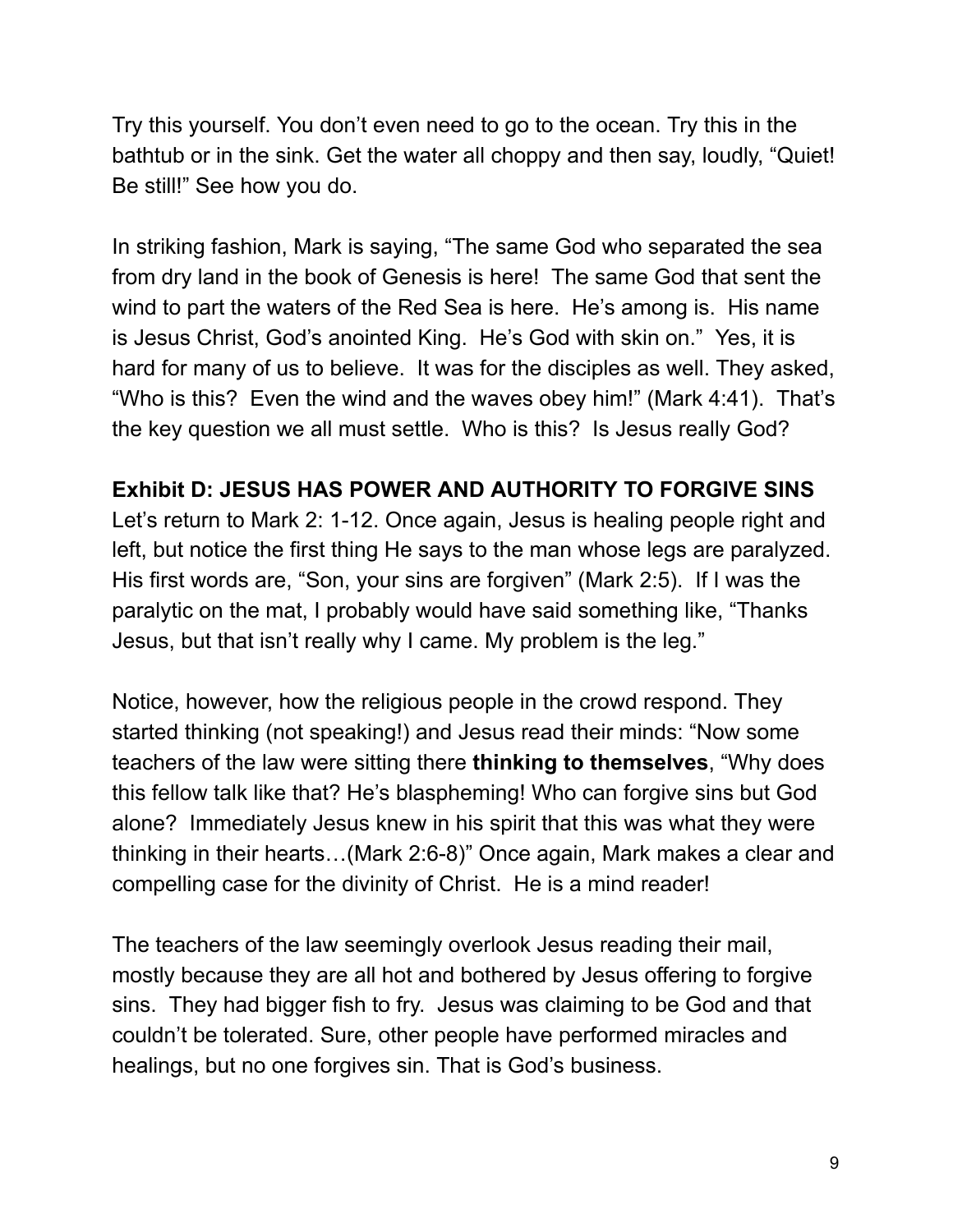Try this yourself. You don't even need to go to the ocean. Try this in the bathtub or in the sink. Get the water all choppy and then say, loudly, "Quiet! Be still!" See how you do.

In striking fashion, Mark is saying, "The same God who separated the sea from dry land in the book of Genesis is here! The same God that sent the wind to part the waters of the Red Sea is here. He's among is. His name is Jesus Christ, God's anointed King. He's God with skin on." Yes, it is hard for many of us to believe. It was for the disciples as well. They asked, "Who is this? Even the wind and the waves obey him!" (Mark 4:41). That's the key question we all must settle. Who is this? Is Jesus really God?

#### **Exhibit D: JESUS HAS POWER AND AUTHORITY TO FORGIVE SINS**

Let's return to Mark 2: 1-12. Once again, Jesus is healing people right and left, but notice the first thing He says to the man whose legs are paralyzed. His first words are, "Son, your sins are forgiven" (Mark 2:5). If I was the paralytic on the mat, I probably would have said something like, "Thanks Jesus, but that isn't really why I came. My problem is the leg."

Notice, however, how the religious people in the crowd respond. They started thinking (not speaking!) and Jesus read their minds: "Now some teachers of the law were sitting there **thinking to themselves**, "Why does this fellow talk like that? He's blaspheming! Who can forgive sins but God alone? Immediately Jesus knew in his spirit that this was what they were thinking in their hearts…(Mark 2:6-8)" Once again, Mark makes a clear and compelling case for the divinity of Christ. He is a mind reader!

The teachers of the law seemingly overlook Jesus reading their mail, mostly because they are all hot and bothered by Jesus offering to forgive sins. They had bigger fish to fry. Jesus was claiming to be God and that couldn't be tolerated. Sure, other people have performed miracles and healings, but no one forgives sin. That is God's business.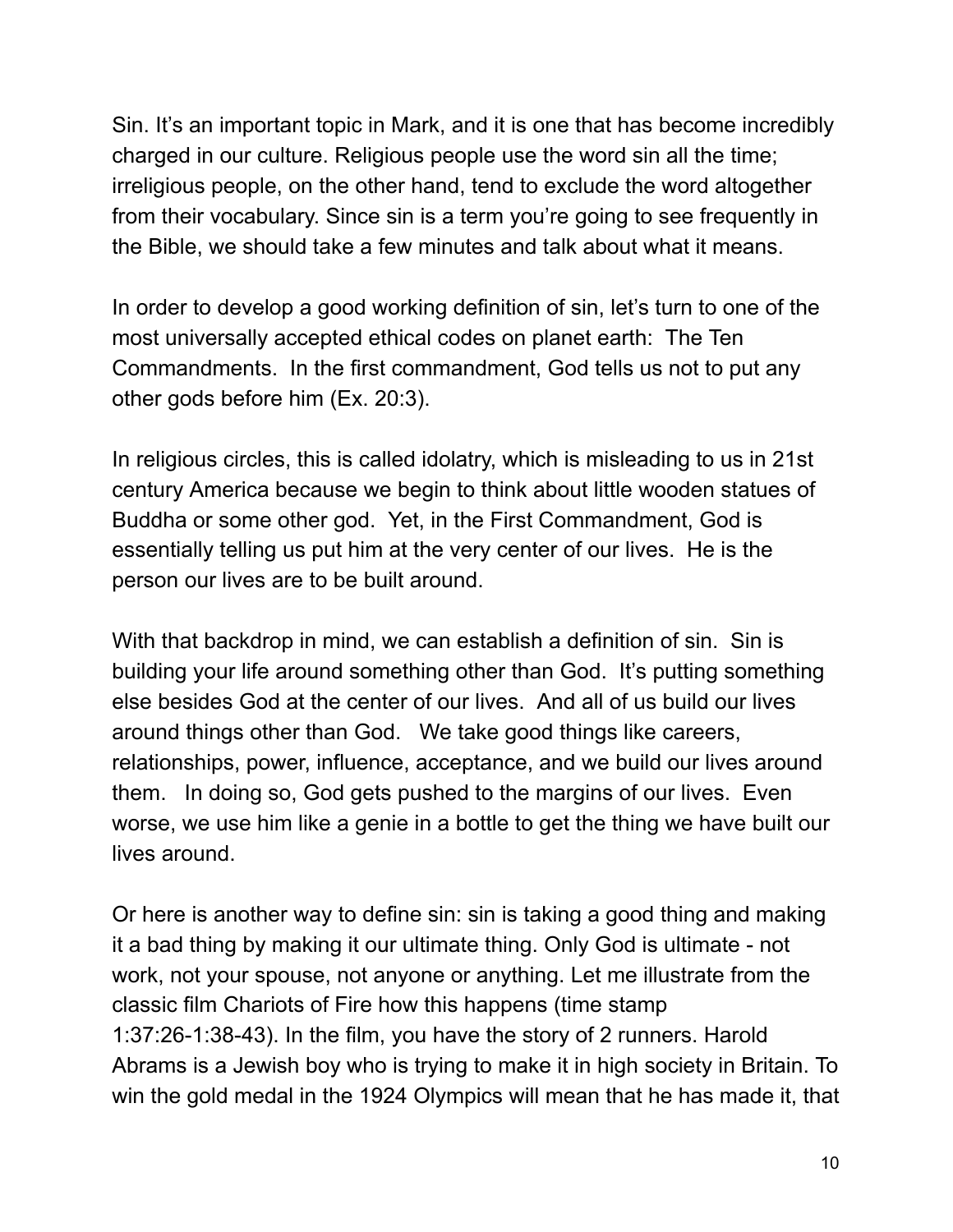Sin. It's an important topic in Mark, and it is one that has become incredibly charged in our culture. Religious people use the word sin all the time; irreligious people, on the other hand, tend to exclude the word altogether from their vocabulary. Since sin is a term you're going to see frequently in the Bible, we should take a few minutes and talk about what it means.

In order to develop a good working definition of sin, let's turn to one of the most universally accepted ethical codes on planet earth: The Ten Commandments. In the first commandment, God tells us not to put any other gods before him (Ex. 20:3).

In religious circles, this is called idolatry, which is misleading to us in 21st century America because we begin to think about little wooden statues of Buddha or some other god. Yet, in the First Commandment, God is essentially telling us put him at the very center of our lives. He is the person our lives are to be built around.

With that backdrop in mind, we can establish a definition of sin. Sin is building your life around something other than God. It's putting something else besides God at the center of our lives. And all of us build our lives around things other than God. We take good things like careers, relationships, power, influence, acceptance, and we build our lives around them. In doing so, God gets pushed to the margins of our lives. Even worse, we use him like a genie in a bottle to get the thing we have built our lives around.

Or here is another way to define sin: sin is taking a good thing and making it a bad thing by making it our ultimate thing. Only God is ultimate - not work, not your spouse, not anyone or anything. Let me illustrate from the classic film Chariots of Fire how this happens (time stamp 1:37:26-1:38-43). In the film, you have the story of 2 runners. Harold Abrams is a Jewish boy who is trying to make it in high society in Britain. To win the gold medal in the 1924 Olympics will mean that he has made it, that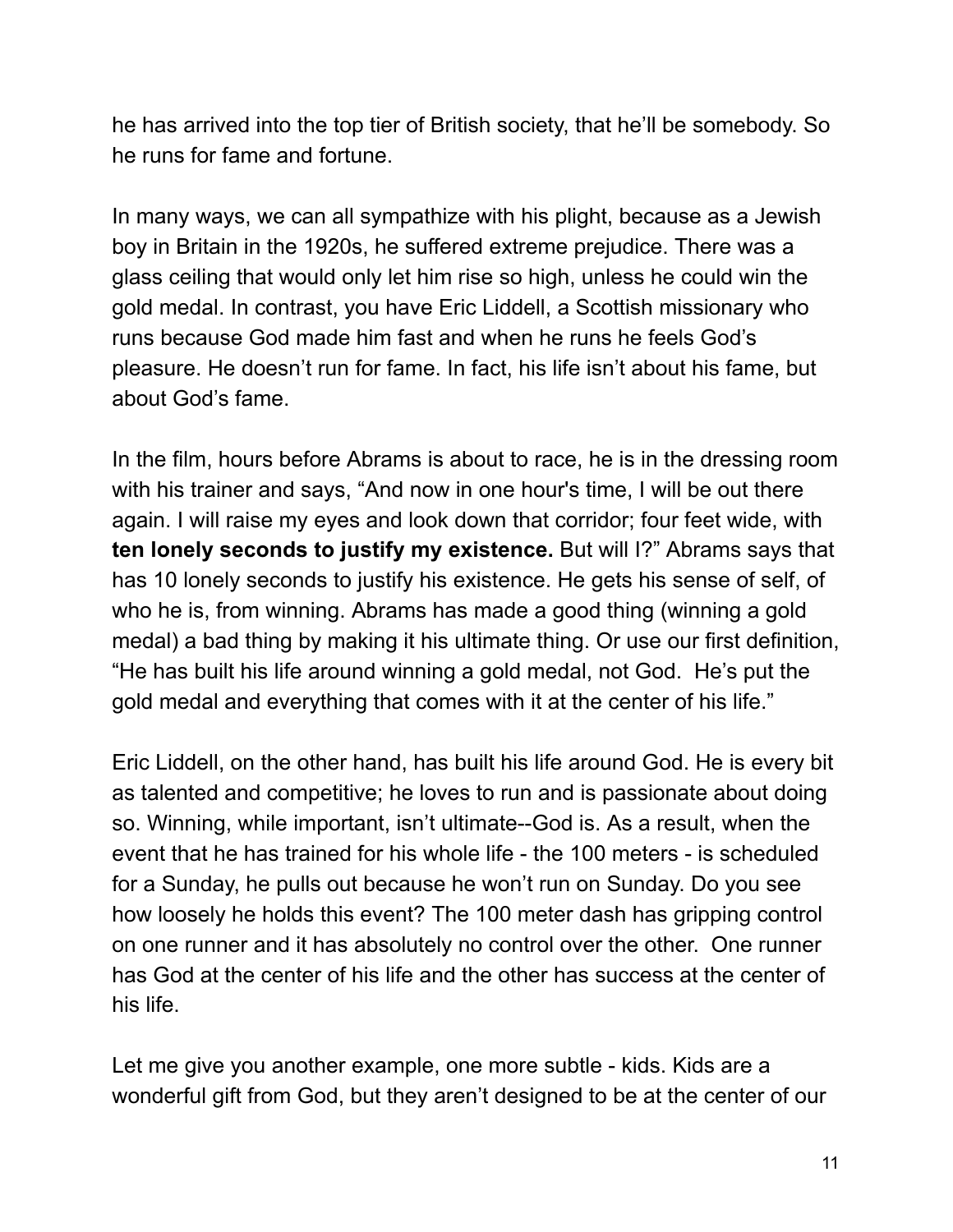he has arrived into the top tier of British society, that he'll be somebody. So he runs for fame and fortune.

In many ways, we can all sympathize with his plight, because as a Jewish boy in Britain in the 1920s, he suffered extreme prejudice. There was a glass ceiling that would only let him rise so high, unless he could win the gold medal. In contrast, you have Eric Liddell, a Scottish missionary who runs because God made him fast and when he runs he feels God's pleasure. He doesn't run for fame. In fact, his life isn't about his fame, but about God's fame.

In the film, hours before Abrams is about to race, he is in the dressing room with his trainer and says, "And now in one hour's time, I will be out there again. I will raise my eyes and look down that corridor; four feet wide, with **ten lonely seconds to justify my existence.** But will I?" Abrams says that has 10 lonely seconds to justify his existence. He gets his sense of self, of who he is, from winning. Abrams has made a good thing (winning a gold medal) a bad thing by making it his ultimate thing. Or use our first definition, "He has built his life around winning a gold medal, not God. He's put the gold medal and everything that comes with it at the center of his life."

Eric Liddell, on the other hand, has built his life around God. He is every bit as talented and competitive; he loves to run and is passionate about doing so. Winning, while important, isn't ultimate--God is. As a result, when the event that he has trained for his whole life - the 100 meters - is scheduled for a Sunday, he pulls out because he won't run on Sunday. Do you see how loosely he holds this event? The 100 meter dash has gripping control on one runner and it has absolutely no control over the other. One runner has God at the center of his life and the other has success at the center of his life.

Let me give you another example, one more subtle - kids. Kids are a wonderful gift from God, but they aren't designed to be at the center of our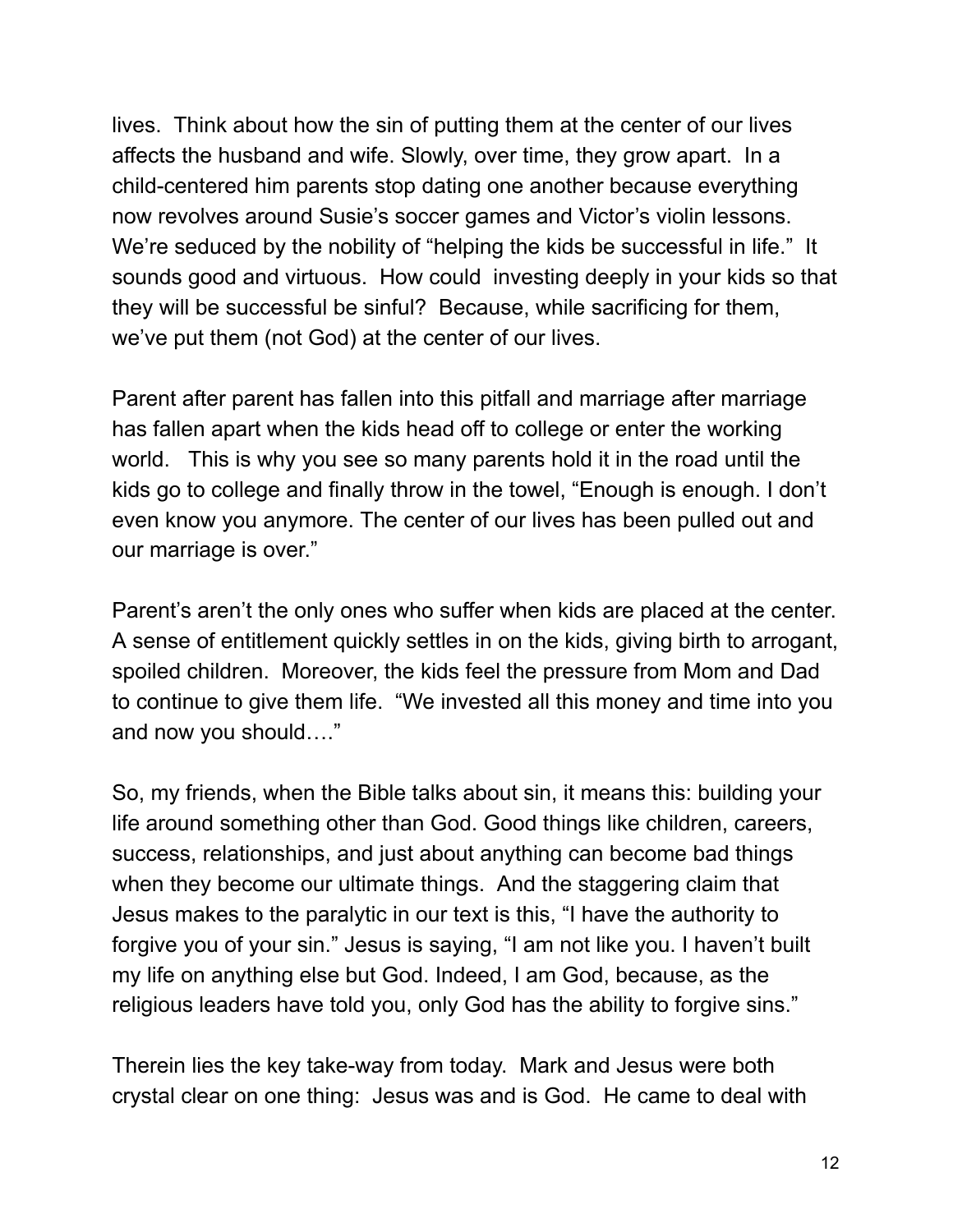lives. Think about how the sin of putting them at the center of our lives affects the husband and wife. Slowly, over time, they grow apart. In a child-centered him parents stop dating one another because everything now revolves around Susie's soccer games and Victor's violin lessons. We're seduced by the nobility of "helping the kids be successful in life." It sounds good and virtuous. How could investing deeply in your kids so that they will be successful be sinful? Because, while sacrificing for them, we've put them (not God) at the center of our lives.

Parent after parent has fallen into this pitfall and marriage after marriage has fallen apart when the kids head off to college or enter the working world. This is why you see so many parents hold it in the road until the kids go to college and finally throw in the towel, "Enough is enough. I don't even know you anymore. The center of our lives has been pulled out and our marriage is over."

Parent's aren't the only ones who suffer when kids are placed at the center. A sense of entitlement quickly settles in on the kids, giving birth to arrogant, spoiled children. Moreover, the kids feel the pressure from Mom and Dad to continue to give them life. "We invested all this money and time into you and now you should…."

So, my friends, when the Bible talks about sin, it means this: building your life around something other than God. Good things like children, careers, success, relationships, and just about anything can become bad things when they become our ultimate things. And the staggering claim that Jesus makes to the paralytic in our text is this, "I have the authority to forgive you of your sin." Jesus is saying, "I am not like you. I haven't built my life on anything else but God. Indeed, I am God, because, as the religious leaders have told you, only God has the ability to forgive sins."

Therein lies the key take-way from today. Mark and Jesus were both crystal clear on one thing: Jesus was and is God. He came to deal with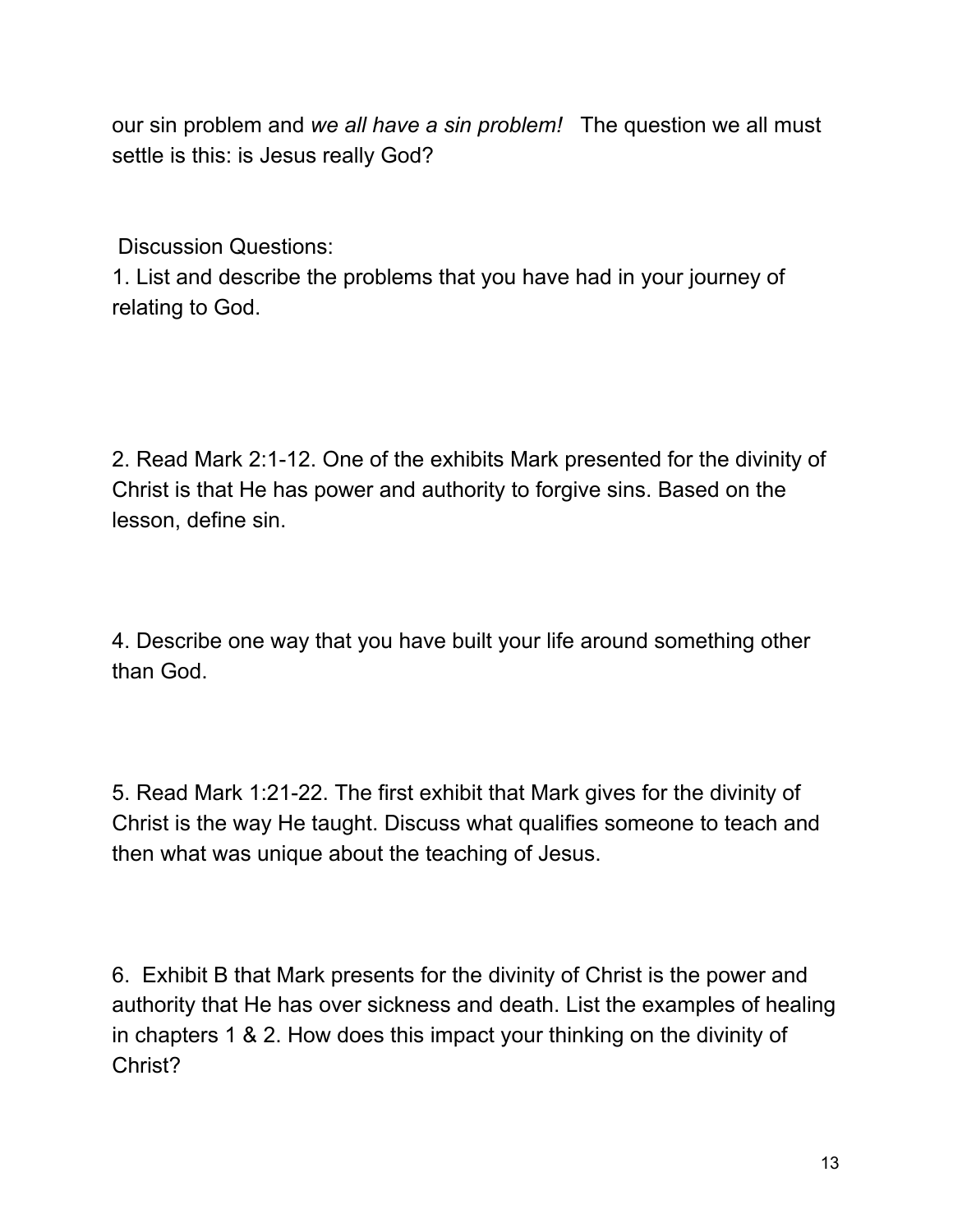our sin problem and *we all have a sin problem!* The question we all must settle is this: is Jesus really God?

Discussion Questions:

1. List and describe the problems that you have had in your journey of relating to God.

2. Read Mark 2:1-12. One of the exhibits Mark presented for the divinity of Christ is that He has power and authority to forgive sins. Based on the lesson, define sin.

4. Describe one way that you have built your life around something other than God.

5. Read Mark 1:21-22. The first exhibit that Mark gives for the divinity of Christ is the way He taught. Discuss what qualifies someone to teach and then what was unique about the teaching of Jesus.

6. Exhibit B that Mark presents for the divinity of Christ is the power and authority that He has over sickness and death. List the examples of healing in chapters 1 & 2. How does this impact your thinking on the divinity of Christ?